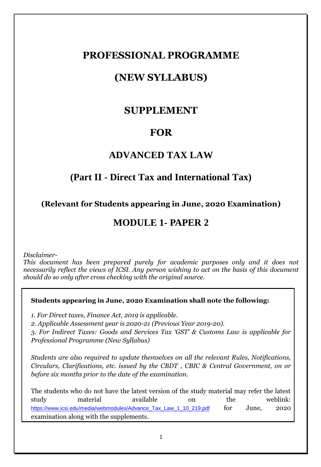### **PROFESSIONAL PROGRAMME**

# **(NEW SYLLABUS)**

### **SUPPLEMENT**

### **FOR**

### **ADVANCED TAX LAW**

### **(Part II - Direct Tax and International Tax)**

**(Relevant for Students appearing in June, 2020 Examination)**

## **MODULE 1- PAPER 2**

*Disclaimer-*

*This document has been prepared purely for academic purposes only and it does not necessarily reflect the views of ICSI. Any person wishing to act on the basis of this document should do so only after cross checking with the original source.*

#### **Students appearing in June, 2020 Examination shall note the following:**

*1. For Direct taxes, Finance Act, 2019 is applicable.*

*2. Applicable Assessment year is 2020-21 (Previous Year 2019-20).*

*3. For Indirect Taxes: Goods and Services Tax 'GST' & Customs Law is applicable for Professional Programme (New Syllabus)*

*Students are also required to update themselves on all the relevant Rules, Notifications, Circulars, Clarifications, etc. issued by the CBDT , CBIC & Central Government, on or before six months prior to the date of the examination.*

The students who do not have the latest version of the study material may refer the latest study material available on the weblink: [https://www.icsi.edu/media/webmodules/Advance\\_Tax\\_Law\\_1\\_10\\_219.pdf](https://www.icsi.edu/media/webmodules/Advance_Tax_Law_1_10_219.pdf) for June, 2020 examination along with the supplements.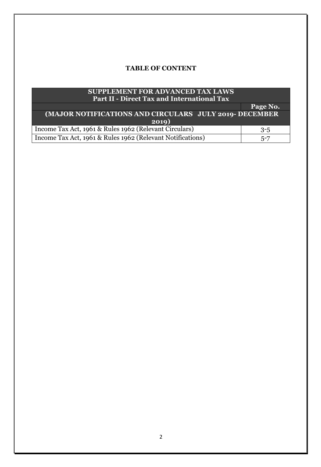### **TABLE OF CONTENT**

| <b>SUPPLEMENT FOR ADVANCED TAX LAWS</b><br><b>Part II - Direct Tax and International Tax</b> |          |
|----------------------------------------------------------------------------------------------|----------|
|                                                                                              | Page No. |
| (MAJOR NOTIFICATIONS AND CIRCULARS JULY 2019- DECEMBER                                       |          |
| 2019)                                                                                        |          |
| Income Tax Act, 1961 & Rules 1962 (Relevant Circulars)                                       | $3 - 5$  |
| Income Tax Act, 1961 & Rules 1962 (Relevant Notifications)                                   | $5 - 7$  |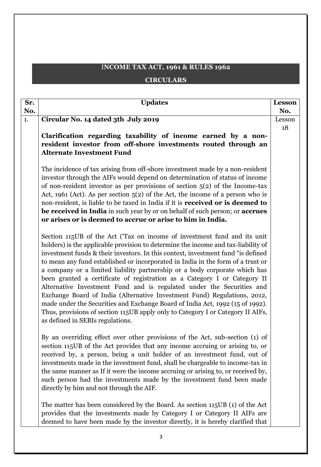### I**NCOME TAX ACT, 1961 & RULES 1962**

### **CIRCULARS**

| Sr.<br>No. | <b>Updates</b>                                                                                                                                                                                                                                                                                                                                                                                                                                                                                                                                                                                                                                                                                                                                                                                                                                               | <b>Lesson</b><br>No. |
|------------|--------------------------------------------------------------------------------------------------------------------------------------------------------------------------------------------------------------------------------------------------------------------------------------------------------------------------------------------------------------------------------------------------------------------------------------------------------------------------------------------------------------------------------------------------------------------------------------------------------------------------------------------------------------------------------------------------------------------------------------------------------------------------------------------------------------------------------------------------------------|----------------------|
| 1.         | Circular No. 14 dated 3th July 2019                                                                                                                                                                                                                                                                                                                                                                                                                                                                                                                                                                                                                                                                                                                                                                                                                          | Lesson               |
|            | Clarification regarding taxability of income earned by a non-<br>resident investor from off-shore investments routed through an<br><b>Alternate Investment Fund</b>                                                                                                                                                                                                                                                                                                                                                                                                                                                                                                                                                                                                                                                                                          | 18                   |
|            | The incidence of tax arising from off-shore investment made by a non-resident<br>investor through the AIFs would depend on determination of status of income<br>of non-resident investor as per provisions of section $5(2)$ of the Income-tax<br>Act, 1961 (Act). As per section $5(2)$ of the Act, the income of a person who is<br>non-resident, is liable to be taxed in India if it is received or is deemed to<br>be received in India in such year by or on behalf of such person; or accrues<br>or arises or is deemed to accrue or arise to him in India.                                                                                                                                                                                                                                                                                           |                      |
|            | Section 115UB of the Act ('Tax on income of investment fund and its unit<br>holders) is the applicable provision to determine the income and tax-liability of<br>investment funds & their investors. In this context, investment fund "is defined<br>to mean any fund established or incorporated in India in the form of a trust or<br>a company or a limited liability partnership or a body corporate which has<br>been granted a certificate of registration as a Category I or Category II<br>Alternative Investment Fund and is regulated under the Securities and<br>Exchange Board of India (Alternative Investment Fund) Regulations, 2012,<br>made under the Securities and Exchange Board of India Act, 1992 (15 of 1992).<br>Thus, provisions of section 115UB apply only to Category I or Category II AIFs,<br>as defined in SEBIs regulations. |                      |
|            | By an overriding effect over other provisions of the Act, sub-section (1) of<br>section 115UB of the Act provides that any income accruing or arising to, or<br>received by, a person, being a unit holder of an investment fund, out of<br>investments made in the investment fund, shall be chargeable to income-tax in<br>the same manner as If it were the income accruing or arising to, or received by,<br>such person had the investments made by the investment fund been made<br>directly by him and not through the AIF.                                                                                                                                                                                                                                                                                                                           |                      |
|            | The matter has been considered by the Board. As section 115UB (1) of the Act<br>provides that the investments made by Category I or Category II AIFs are<br>deemed to have been made by the investor directly, it is hereby clarified that                                                                                                                                                                                                                                                                                                                                                                                                                                                                                                                                                                                                                   |                      |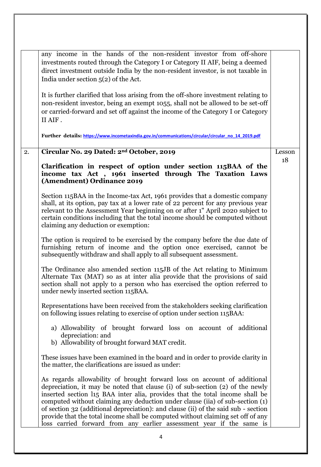|    | any income in the hands of the non-resident investor from off-shore<br>investments routed through the Category I or Category II AIF, being a deemed<br>direct investment outside India by the non-resident investor, is not taxable in<br>India under section $5(2)$ of the Act.                                                                                                                                                                                                                                                                                            |        |
|----|-----------------------------------------------------------------------------------------------------------------------------------------------------------------------------------------------------------------------------------------------------------------------------------------------------------------------------------------------------------------------------------------------------------------------------------------------------------------------------------------------------------------------------------------------------------------------------|--------|
|    | It is further clarified that loss arising from the off-shore investment relating to<br>non-resident investor, being an exempt 1055, shall not be allowed to be set-off<br>or carried-forward and set off against the income of the Category I or Category<br>II AIF.                                                                                                                                                                                                                                                                                                        |        |
|    | Further details: https://www.incometaxindia.gov.in/communications/circular/circular_no_14_2019.pdf                                                                                                                                                                                                                                                                                                                                                                                                                                                                          |        |
| 2. | Circular No. 29 Dated: 2 <sup>nd</sup> October, 2019                                                                                                                                                                                                                                                                                                                                                                                                                                                                                                                        | Lesson |
|    | Clarification in respect of option under section 115BAA of the<br>income tax Act, 1961 inserted through The Taxation Laws<br>(Amendment) Ordinance 2019                                                                                                                                                                                                                                                                                                                                                                                                                     | 18     |
|    | Section 115BAA in the Income-tax Act, 1961 provides that a domestic company<br>shall, at its option, pay tax at a lower rate of 22 percent for any previous year<br>relevant to the Assessment Year beginning on or after 1" April 2020 subject to<br>certain conditions including that the total income should be computed without<br>claiming any deduction or exemption:                                                                                                                                                                                                 |        |
|    | The option is required to be exercised by the company before the due date of<br>furnishing return of income and the option once exercised, cannot be<br>subsequently withdraw and shall apply to all subsequent assessment.                                                                                                                                                                                                                                                                                                                                                 |        |
|    | The Ordinance also amended section 115JB of the Act relating to Minimum<br>Alternate Tax (MAT) so as at inter alia provide that the provisions of said<br>section shall not apply to a person who has exercised the option referred to<br>under newly inserted section 115BAA.                                                                                                                                                                                                                                                                                              |        |
|    | Representations have been received from the stakeholders seeking clarification<br>on following issues relating to exercise of option under section 115BAA:                                                                                                                                                                                                                                                                                                                                                                                                                  |        |
|    | a) Allowability of brought forward loss on account of additional<br>depreciation: and<br>b) Allowability of brought forward MAT credit.                                                                                                                                                                                                                                                                                                                                                                                                                                     |        |
|    | These issues have been examined in the board and in order to provide clarity in<br>the matter, the clarifications are issued as under:                                                                                                                                                                                                                                                                                                                                                                                                                                      |        |
|    | As regards allowability of brought forward loss on account of additional<br>depreciation, it may be noted that clause (i) of sub-section (2) of the newly<br>inserted section l15 BAA inter alia, provides that the total income shall be<br>computed without claiming any deduction under clause (iia) of sub-section (1)<br>of section 32 (additional depreciation): and clause (ii) of the said sub - section<br>provide that the total income shall be computed without claiming set off of any<br>loss carried forward from any earlier assessment year if the same is |        |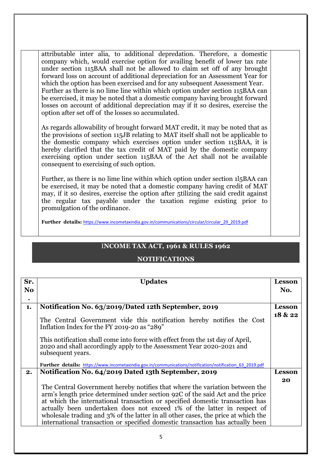attributable inter alia, to additional depredation. Therefore, a domestic company which, would exercise option for availing benefit of lower tax rate under section 115BAA shall not be allowed to claim set off of any brought forward loss on account of additional depreciation for an Assessment Year for which the option has been exercised and for any subsequent Assessment Year. Further as there is n0 lime line within which option under section 115BAA can be exercised, it may be noted that a domestic company having brought forward losses on account of additional depreciation may if it so desires, exercise the option after set off of the losses so accumulated.

As regards allowability of brought forward MAT credit, it may be noted that as the provisions of section 115JB relating to MAT itself shall not be applicable to the domestic company which exercises option under section 115BAA, it is hereby clarified that the tax credit of MAT paid by the domestic company exercising option under section 115BAA of the Act shall not be available consequent to exercising of such option.

Further, as there is no lime line within which option under section 1l5BAA can be exercised, it may be noted that a domestic company having credit of MAT may, if it so desires, exercise the option after 5tilizing the said credit against the regular tax payable under the taxation regime existing prior to promulgation of the ordinance.

Further details: [https://www.incometaxindia.gov.in/communications/circular/circular\\_29\\_2019.pdf](https://www.incometaxindia.gov.in/communications/circular/circular_29_2019.pdf)

#### I**NCOME TAX ACT, 1961 & RULES 1962**

#### **NOTIFICATIONS**

| Sr.            | <b>Updates</b>                                                                                                                                                                                                                                                                                                                                                                                                                                                                                | <b>Lesson</b> |
|----------------|-----------------------------------------------------------------------------------------------------------------------------------------------------------------------------------------------------------------------------------------------------------------------------------------------------------------------------------------------------------------------------------------------------------------------------------------------------------------------------------------------|---------------|
| N <sub>o</sub> |                                                                                                                                                                                                                                                                                                                                                                                                                                                                                               | No.           |
| $\bullet$      |                                                                                                                                                                                                                                                                                                                                                                                                                                                                                               |               |
| 1.             | Notification No. 63/2019/Dated 12th September, 2019                                                                                                                                                                                                                                                                                                                                                                                                                                           | <b>Lesson</b> |
|                | The Central Government vide this notification hereby notifies the Cost<br>Inflation Index for the FY 2019-20 as "289"                                                                                                                                                                                                                                                                                                                                                                         | 18 & 22       |
|                | This notification shall come into force with effect from the 1st day of April,<br>2020 and shall accordingly apply to the Assessment Year 2020-2021 and<br>subsequent years.                                                                                                                                                                                                                                                                                                                  |               |
|                | Further details: https://www.incometaxindia.gov.in/communications/notification/notification 63 2019.pdf                                                                                                                                                                                                                                                                                                                                                                                       |               |
| 2.             | Notification No. 64/2019 Dated 13th September, 2019                                                                                                                                                                                                                                                                                                                                                                                                                                           | <b>Lesson</b> |
|                | The Central Government hereby notifies that where the variation between the<br>arm's length price determined under section 92C of the said Act and the price<br>at which the international transaction or specified domestic transaction has<br>actually been undertaken does not exceed 1% of the latter in respect of<br>wholesale trading and 3% of the latter in all other cases, the price at which the<br>international transaction or specified domestic transaction has actually been | 20            |
|                |                                                                                                                                                                                                                                                                                                                                                                                                                                                                                               |               |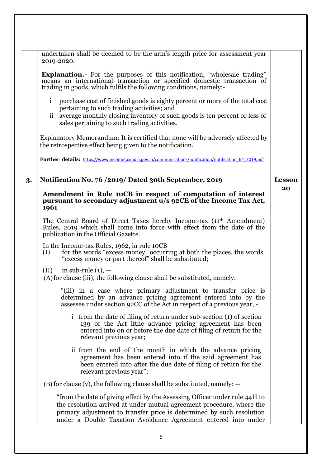|    | undertaken shall be deemed to be the arm's length price for assessment year<br>2019-2020.                                                                                                                                                                                                      |                     |
|----|------------------------------------------------------------------------------------------------------------------------------------------------------------------------------------------------------------------------------------------------------------------------------------------------|---------------------|
|    | Explanation.- For the purposes of this notification, "wholesale trading"<br>means an international transaction or specified domestic transaction of<br>trading in goods, which fulfils the following conditions, namely:-                                                                      |                     |
|    | purchase cost of finished goods is eighty percent or more of the total cost<br>$\mathbf{i}$<br>pertaining to such trading activities; and<br>average monthly closing inventory of such goods is ten percent or less of<br>11<br>sales pertaining to such trading activities.                   |                     |
|    | Explanatory Memorandum: It is certified that none will be adversely affected by<br>the retrospective effect being given to the notification.                                                                                                                                                   |                     |
|    | Further details: https://www.incometaxindia.gov.in/communications/notification/notification 64 2019.pdf                                                                                                                                                                                        |                     |
|    | Notification No. 76 /2019/ Dated 30th September, 2019                                                                                                                                                                                                                                          |                     |
| 3. |                                                                                                                                                                                                                                                                                                | <b>Lesson</b><br>20 |
|    | Amendment in Rule 10CB in respect of computation of interest                                                                                                                                                                                                                                   |                     |
|    | pursuant to secondary adjustment u/s 92CE of the Income Tax Act,<br>1961                                                                                                                                                                                                                       |                     |
|    | The Central Board of Direct Taxes hereby Income-tax (11 <sup>th</sup> Amendment)<br>Rules, 2019 which shall come into force with effect from the date of the<br>publication in the Official Gazette.                                                                                           |                     |
|    | In the Income-tax Rules, 1962, in rule 10CB<br>for the words "excess money" occurring at both the places, the words<br>(I)<br>"excess money or part thereof" shall be substituted;                                                                                                             |                     |
|    | in sub-rule $(1)$ , $-$<br>(II)<br>(A) for clause (iii), the following clause shall be substituted, namely: $-$                                                                                                                                                                                |                     |
|    | "(iii) in a case where primary adjustment to transfer price is<br>determined by an advance pricing agreement entered into by the<br>assessee under section 92CC of the Act in respect of a previous year, -                                                                                    |                     |
|    | i from the date of filing of return under sub-section (1) of section<br>139 of the Act if the advance pricing agreement has been<br>entered into on or before the due date of filing of return for the<br>relevant previous year;                                                              |                     |
|    | is from the end of the month in which the advance pricing<br>agreement has been entered into if the said agreement has<br>been entered into after the due date of filing of return for the<br>relevant previous year";                                                                         |                     |
|    | $(B)$ for clause (v), the following clause shall be substituted, namely: $-$                                                                                                                                                                                                                   |                     |
|    | "from the date of giving effect by the Assessing Officer under rule 44H to<br>the resolution arrived at under mutual agreement procedure, where the<br>primary adjustment to transfer price is determined by such resolution<br>under a Double Taxation Avoidance Agreement entered into under |                     |